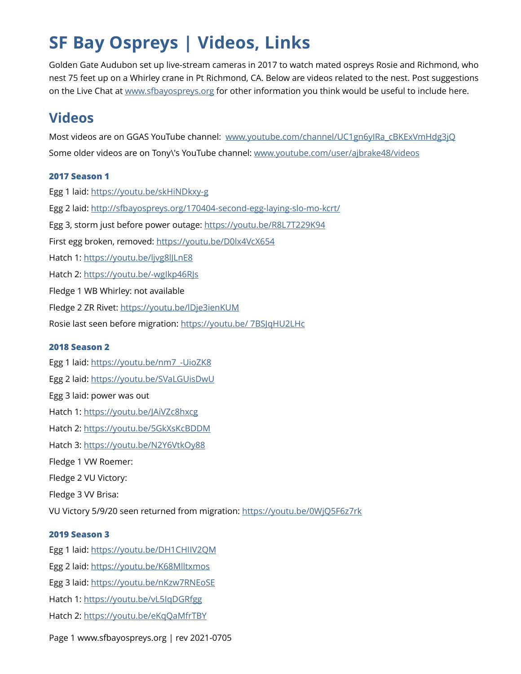# **SF Bay Ospreys | Videos, Links**

Golden Gate Audubon set up live-stream cameras in 2017 to watch mated ospreys Rosie and Richmond, who nest 75 feet up on a Whirley crane in Pt Richmond, CA. Below are videos related to the nest. Post suggestions on the Live Chat at [www.sfbayospreys.org](http://www.sfbayospreys.org) for other information you think would be useful to include here.

# **Videos**

Most videos are on GGAS YouTube channel: [www.youtube.com/channel/UC1gn6yIRa\\_cBKExVmHdg3jQ](http://www.youtube.com/channel/UC1gn6yIRa_cBKExVmHdg3jQ) Some older videos are on Tony\'s YouTube channel: [www.youtube.com/user/ajbrake48/videos](http://www.youtube.com/user/ajbrake48/videos)

# **2017 Season 1**

Egg 1 laid:<https://youtu.be/skHiNDkxy-g> Egg 2 laid:<http://sfbayospreys.org/170404-second-egg-laying-slo-mo-kcrt/> Egg 3, storm just before power outage:<https://youtu.be/R8L7T229K94> First egg broken, removed: <https://youtu.be/D0lx4VcX654> Hatch 1: <https://youtu.be/ljvg8lJLnE8> Hatch 2: <https://youtu.be/-wgIkp46RJs> Fledge 1 WB Whirley: not available Fledge 2 ZR Rivet: <https://youtu.be/lDje3ienKUM> Rosie last seen before migration: [https://youtu.be/ 7BSJqHU2LHc](https://youtu.be/%25207BSJqHU2LHc) **2018 Season 2** Egg 1 laid: [https://youtu.be/nm7\\_-UioZK8](https://youtu.be/nm7_-UioZK8) Egg 2 laid:<https://youtu.be/SVaLGUisDwU>

- Egg 3 laid: power was out
- Hatch 1: <https://youtu.be/JAiVZc8hxcg>
- Hatch 2: <https://youtu.be/5GkXsKcBDDM>
- Hatch 3: <https://youtu.be/N2Y6VtkOy88>
- Fledge 1 VW Roemer:
- Fledge 2 VU Victory:
- Fledge 3 VV Brisa:

VU Victory 5/9/20 seen returned from migration: <https://youtu.be/0WjQ5F6z7rk>

## **2019 Season 3**

Egg 1 laid:<https://youtu.be/DH1CHIIV2QM>

- Egg 2 laid:<https://youtu.be/K68Mlltxmos>
- Egg 3 laid:<https://youtu.be/nKzw7RNEoSE>
- Hatch 1: <https://youtu.be/vL5IqDGRfgg>
- Hatch 2: <https://youtu.be/eKqQaMfrTBY>
- Page 1 www.sfbayospreys.org | rev 2021-0705